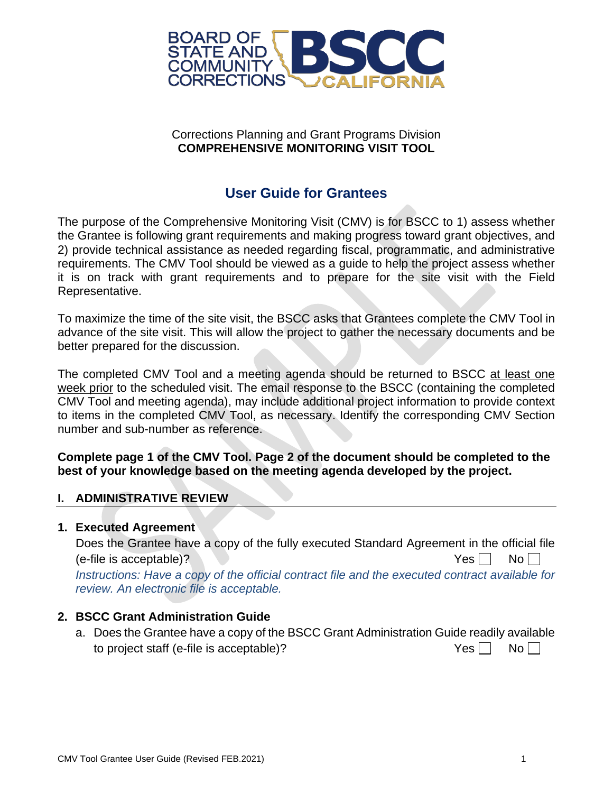

### Corrections Planning and Grant Programs Division **COMPREHENSIVE MONITORING VISIT TOOL**

## **User Guide for Grantees**

The purpose of the Comprehensive Monitoring Visit (CMV) is for BSCC to 1) assess whether the Grantee is following grant requirements and making progress toward grant objectives, and 2) provide technical assistance as needed regarding fiscal, programmatic, and administrative requirements. The CMV Tool should be viewed as a guide to help the project assess whether it is on track with grant requirements and to prepare for the site visit with the Field Representative.

To maximize the time of the site visit, the BSCC asks that Grantees complete the CMV Tool in advance of the site visit. This will allow the project to gather the necessary documents and be better prepared for the discussion.

The completed CMV Tool and a meeting agenda should be returned to BSCC at least one week prior to the scheduled visit. The email response to the BSCC (containing the completed CMV Tool and meeting agenda), may include additional project information to provide context to items in the completed CMV Tool, as necessary. Identify the corresponding CMV Section number and sub-number as reference.

**Complete page 1 of the CMV Tool. Page 2 of the document should be completed to the best of your knowledge based on the meeting agenda developed by the project.**

#### **I. ADMINISTRATIVE REVIEW**

#### **1. Executed Agreement**

Does the Grantee have a copy of the fully executed Standard Agreement in the official file (e-file is acceptable)?  $Y \in \mathbb{R}$   $\Box$   $Y \in \mathbb{R}$  No  $\Box$ *Instructions: Have a copy of the official contract file and the executed contract available for review. An electronic file is acceptable.*

#### **2. BSCC Grant Administration Guide**

a. Does the Grantee have a copy of the BSCC Grant Administration Guide readily available to project staff (e-file is acceptable)?  $Yes \Box \text{ No } \Box$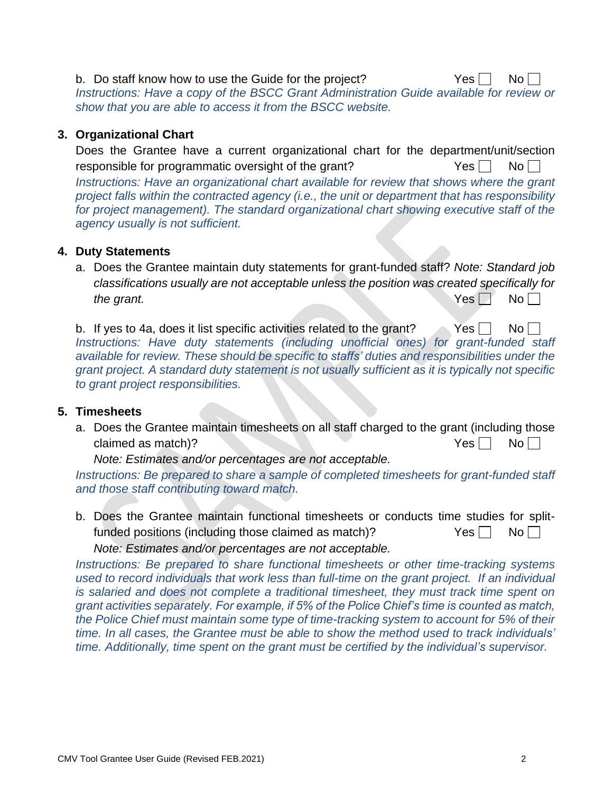b. Do staff know how to use the Guide for the project?  $Yes \cap No \cap$ *Instructions: Have a copy of the BSCC Grant Administration Guide available for review or show that you are able to access it from the BSCC website.*

#### **3. Organizational Chart**

Does the Grantee have a current organizational chart for the department/unit/section responsible for programmatic oversight of the grant?  $Yes \Box \ No \Box$ *Instructions: Have an organizational chart available for review that shows where the grant project falls within the contracted agency (i.e., the unit or department that has responsibility for project management). The standard organizational chart showing executive staff of the agency usually is not sufficient.*

### **4. Duty Statements**

a. Does the Grantee maintain duty statements for grant-funded staff? *Note: Standard job classifications usually are not acceptable unless the position was created specifically for the grant.* No  $\Box$  No  $\Box$ 

b. If yes to 4a, does it list specific activities related to the grant? Yes  $\Box$  No  $\Box$ *Instructions: Have duty statements (including unofficial ones) for grant-funded staff available for review. These should be specific to staffs' duties and responsibilities under the grant project. A standard duty statement is not usually sufficient as it is typically not specific to grant project responsibilities.*

#### **5. Timesheets**

a. Does the Grantee maintain timesheets on all staff charged to the grant (including those claimed as match)?  $Yes \Box \qquad No \Box$ 

*Note: Estimates and/or percentages are not acceptable.*

*Instructions: Be prepared to share a sample of completed timesheets for grant-funded staff and those staff contributing toward match.*

b. Does the Grantee maintain functional timesheets or conducts time studies for splitfunded positions (including those claimed as match)?  $Yes \Box \text{ No } \Box$ *Note: Estimates and/or percentages are not acceptable.*

*Instructions: Be prepared to share functional timesheets or other time-tracking systems used to record individuals that work less than full-time on the grant project. If an individual is salaried and does not complete a traditional timesheet, they must track time spent on grant activities separately. For example, if 5% of the Police Chief's time is counted as match, the Police Chief must maintain some type of time-tracking system to account for 5% of their time. In all cases, the Grantee must be able to show the method used to track individuals' time. Additionally, time spent on the grant must be certified by the individual's supervisor.*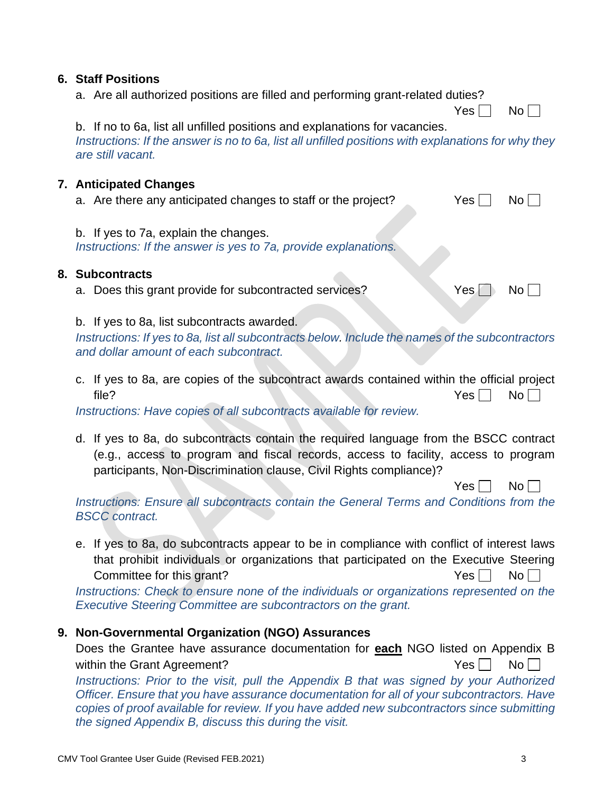#### **6. Staff Positions**

a. Are all authorized positions are filled and performing grant-related duties?

 $Yes \Box No \Box$ 

b. If no to 6a, list all unfilled positions and explanations for vacancies. *Instructions: If the answer is no to 6a, list all unfilled positions with explanations for why they are still vacant.*

#### **7. Anticipated Changes**

| a. Are there any anticipated changes to staff or the project? |  | $Yes \Box No \Box$ |
|---------------------------------------------------------------|--|--------------------|
|---------------------------------------------------------------|--|--------------------|

b. If yes to 7a, explain the changes. *Instructions: If the answer is yes to 7a, provide explanations.*

#### **8. Subcontracts**

a. Does this grant provide for subcontracted services?  $Yes \cup No \cup$ 

b. If yes to 8a, list subcontracts awarded.

*Instructions: If yes to 8a, list all subcontracts below. Include the names of the subcontractors and dollar amount of each subcontract.*

c. If yes to 8a, are copies of the subcontract awards contained within the official project file? No research with the set of the set of the set of the set of the set of the set of the set of the set of the set of the set of the set of the set of the set of the set of the set of the set of the set of the set of t

*Instructions: Have copies of all subcontracts available for review.*

d. If yes to 8a, do subcontracts contain the required language from the BSCC contract (e.g., access to program and fiscal records, access to facility, access to program participants, Non-Discrimination clause, Civil Rights compliance)?

 $Yes \Box No \Box$ 

*Instructions: Ensure all subcontracts contain the General Terms and Conditions from the BSCC contract.*

e. If yes to 8a, do subcontracts appear to be in compliance with conflict of interest laws that prohibit individuals or organizations that participated on the Executive Steering Committee for this grant? The Committee for this grant?

*Instructions: Check to ensure none of the individuals or organizations represented on the Executive Steering Committee are subcontractors on the grant.*

## **9. Non-Governmental Organization (NGO) Assurances**

Does the Grantee have assurance documentation for **each** NGO listed on Appendix B within the Grant Agreement? The Vestal of the Vestal Note Note that The Vestal Note is not a very set of the Vestal Note in the Vestal Note in the Vestal Note in the Vestal Note in the Vestal Note in the Vestal Note in the

*Instructions: Prior to the visit, pull the Appendix B that was signed by your Authorized Officer. Ensure that you have assurance documentation for all of your subcontractors. Have copies of proof available for review. If you have added new subcontractors since submitting the signed Appendix B, discuss this during the visit.*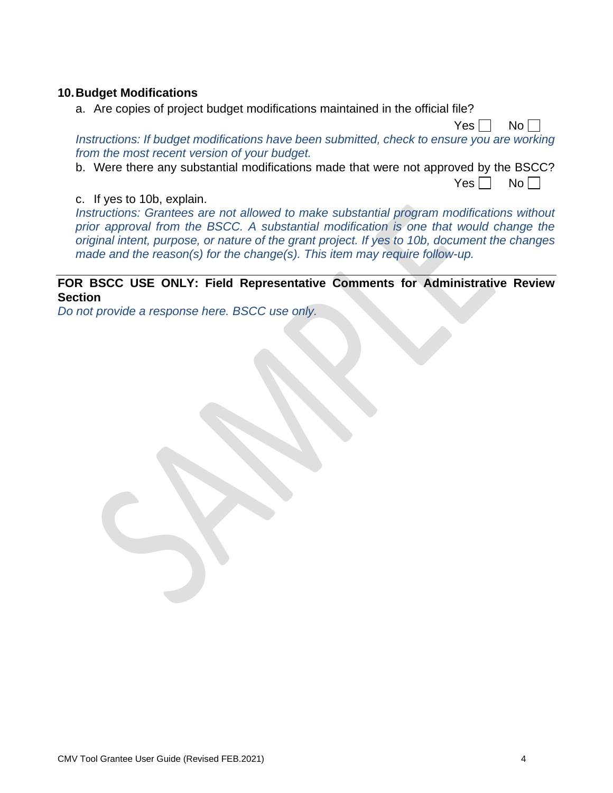#### **10.Budget Modifications**

a. Are copies of project budget modifications maintained in the official file?

*Instructions: If budget modifications have been submitted, check to ensure you are working from the most recent version of your budget.*

b. Were there any substantial modifications made that were not approved by the BSCC?

 $Yes \Box No \Box$ 

 $Yes \Box No \Box$ 

#### c. If yes to 10b, explain.

*Instructions: Grantees are not allowed to make substantial program modifications without prior approval from the BSCC. A substantial modification is one that would change the original intent, purpose, or nature of the grant project. If yes to 10b, document the changes made and the reason(s) for the change(s). This item may require follow-up.*

#### **FOR BSCC USE ONLY: Field Representative Comments for Administrative Review Section**

*Do not provide a response here. BSCC use only.*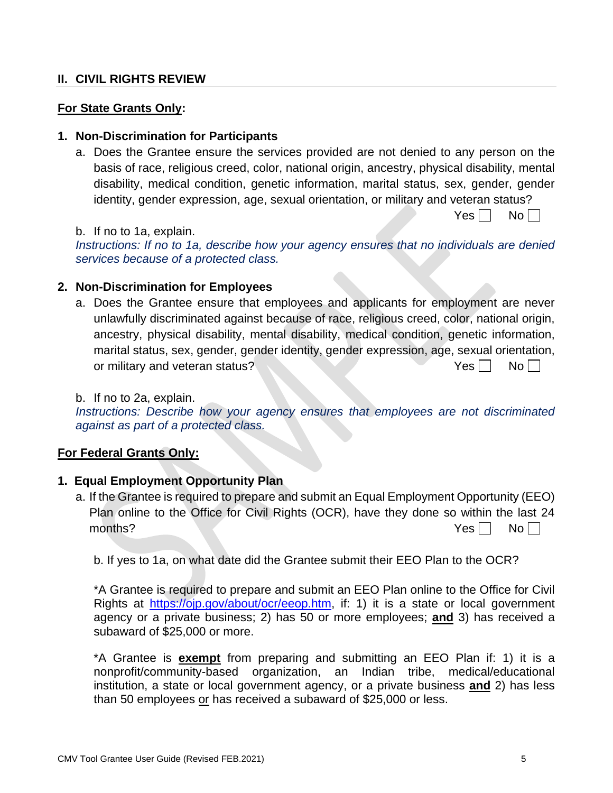#### **II. CIVIL RIGHTS REVIEW**

#### **For State Grants Only:**

#### **1. Non-Discrimination for Participants**

a. Does the Grantee ensure the services provided are not denied to any person on the basis of race, religious creed, color, national origin, ancestry, physical disability, mental disability, medical condition, genetic information, marital status, sex, gender, gender identity, gender expression, age, sexual orientation, or military and veteran status?

b. If no to 1a, explain.

*Instructions: If no to 1a, describe how your agency ensures that no individuals are denied services because of a protected class.*

#### **2. Non-Discrimination for Employees**

a. Does the Grantee ensure that employees and applicants for employment are never unlawfully discriminated against because of race, religious creed, color, national origin, ancestry, physical disability, mental disability, medical condition, genetic information, marital status, sex, gender, gender identity, gender expression, age, sexual orientation, or military and veteran status?  $Yes \Box \qquad No \Box$ 

#### b. If no to 2a, explain.

*Instructions: Describe how your agency ensures that employees are not discriminated against as part of a protected class.*

#### **For Federal Grants Only:**

#### **1. Equal Employment Opportunity Plan**

a. If the Grantee is required to prepare and submit an Equal Employment Opportunity (EEO) Plan online to the Office for Civil Rights (OCR), have they done so within the last 24 months? No was a set of the set of the set of the set of the set of the set of the set of the set of the set of the set of the set of the set of the set of the set of the set of the set of the set of the set of the set of

b. If yes to 1a, on what date did the Grantee submit their EEO Plan to the OCR?

\*A Grantee is required to prepare and submit an EEO Plan online to the Office for Civil Rights at [https://ojp.gov/about/ocr/eeop.htm,](https://ojp.gov/about/ocr/eeop.htm) if: 1) it is a state or local government agency or a private business; 2) has 50 or more employees; **and** 3) has received a subaward of \$25,000 or more.

\*A Grantee is **exempt** from preparing and submitting an EEO Plan if: 1) it is a nonprofit/community-based organization, an Indian tribe, medical/educational institution, a state or local government agency, or a private business **and** 2) has less than 50 employees or has received a subaward of \$25,000 or less.

 $Yes \Box No \Box$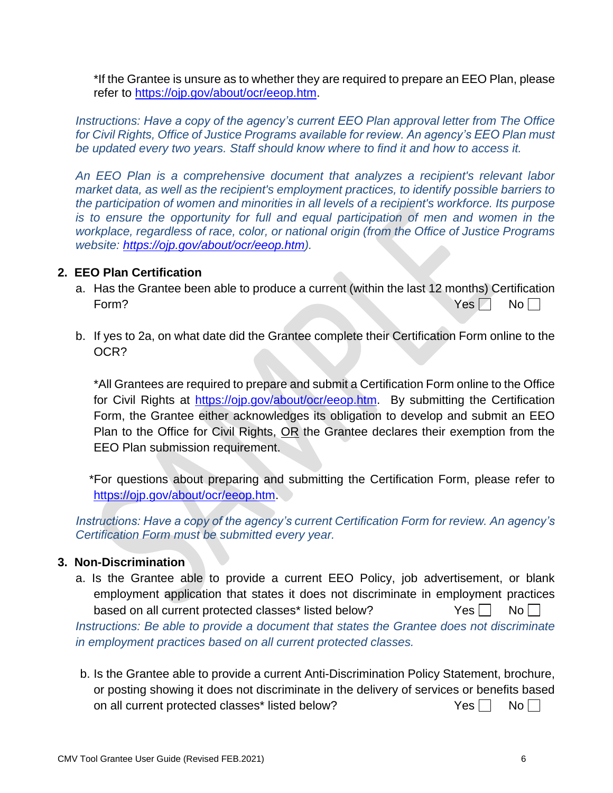\*If the Grantee is unsure as to whether they are required to prepare an EEO Plan, please refer to [https://ojp.gov/about/ocr/eeop.htm.](https://ojp.gov/about/ocr/eeop.htm)

*Instructions: Have a copy of the agency's current EEO Plan approval letter from The Office for Civil Rights, Office of Justice Programs available for review. An agency's EEO Plan must be updated every two years. Staff should know where to find it and how to access it.*

*An EEO Plan is a comprehensive document that analyzes a recipient's relevant labor market data, as well as the recipient's employment practices, to identify possible barriers to the participation of women and minorities in all levels of a recipient's workforce. Its purpose is to ensure the opportunity for full and equal participation of men and women in the workplace, regardless of race, color, or national origin (from the Office of Justice Programs website: [https://ojp.gov/about/ocr/eeop.htm\)](https://ojp.gov/about/ocr/eeop.htm).*

#### **2. EEO Plan Certification**

- a. Has the Grantee been able to produce a current (within the last 12 months) Certification Form? No research with the set of the set of the set of the set of the set of the set of the set of the set of the set of the set of the set of the set of the set of the set of the set of the set of the set of the set of t
- b. If yes to 2a, on what date did the Grantee complete their Certification Form online to the OCR?

\*All Grantees are required to prepare and submit a Certification Form online to the Office for Civil Rights at [https://ojp.gov/about/ocr/eeop.htm.](https://ojp.gov/about/ocr/eeop.htm) By submitting the Certification Form, the Grantee either acknowledges its obligation to develop and submit an EEO Plan to the Office for Civil Rights, OR the Grantee declares their exemption from the EEO Plan submission requirement.

\*For questions about preparing and submitting the Certification Form, please refer to [https://ojp.gov/about/ocr/eeop.htm.](https://ojp.gov/about/ocr/eeop.htm)

*Instructions: Have a copy of the agency's current Certification Form for review. An agency's Certification Form must be submitted every year.* 

## **3. Non-Discrimination**

- a. Is the Grantee able to provide a current EEO Policy, job advertisement, or blank employment application that states it does not discriminate in employment practices based on all current protected classes<sup>\*</sup> listed below? Yes No *Instructions: Be able to provide a document that states the Grantee does not discriminate in employment practices based on all current protected classes.*
- b. Is the Grantee able to provide a current Anti-Discrimination Policy Statement, brochure, or posting showing it does not discriminate in the delivery of services or benefits based on all current protected classes\* listed below?  $Yes \Box \text{ No } \Box$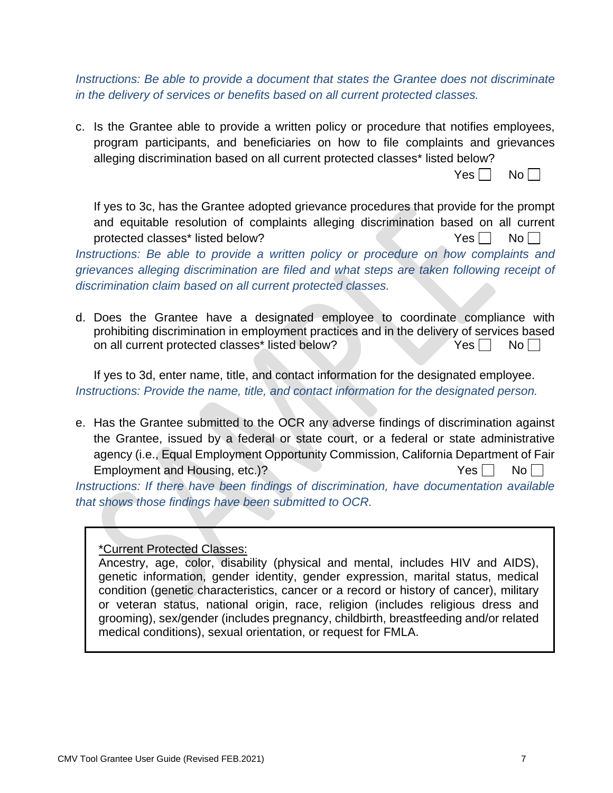*Instructions: Be able to provide a document that states the Grantee does not discriminate in the delivery of services or benefits based on all current protected classes.*

c. Is the Grantee able to provide a written policy or procedure that notifies employees, program participants, and beneficiaries on how to file complaints and grievances alleging discrimination based on all current protected classes\* listed below?

|--|--|--|--|--|

If yes to 3c, has the Grantee adopted grievance procedures that provide for the prompt and equitable resolution of complaints alleging discrimination based on all current protected classes\* listed below?  $Yes \Box \qquad No \Box$ 

*Instructions: Be able to provide a written policy or procedure on how complaints and grievances alleging discrimination are filed and what steps are taken following receipt of discrimination claim based on all current protected classes.*

d. Does the Grantee have a designated employee to coordinate compliance with prohibiting discrimination in employment practices and in the delivery of services based on all current protected classes\* listed below? Yes  $\Box$  No  $\Box$ 

If yes to 3d, enter name, title, and contact information for the designated employee. *Instructions: Provide the name, title, and contact information for the designated person.*

e. Has the Grantee submitted to the OCR any adverse findings of discrimination against the Grantee, issued by a federal or state court, or a federal or state administrative agency (i.e., Equal Employment Opportunity Commission, California Department of Fair Employment and Housing, etc.)?  $Yes \bigcap_{\alpha} No \bigcap_{\alpha}$ 

*Instructions: If there have been findings of discrimination, have documentation available that shows those findings have been submitted to OCR.*

\*Current Protected Classes:

Ancestry, age, color, disability (physical and mental, includes HIV and AIDS), genetic information, gender identity, gender expression, marital status, medical condition (genetic characteristics, cancer or a record or history of cancer), military or veteran status, national origin, race, religion (includes religious dress and grooming), sex/gender (includes pregnancy, childbirth, breastfeeding and/or related medical conditions), sexual orientation, or request for FMLA.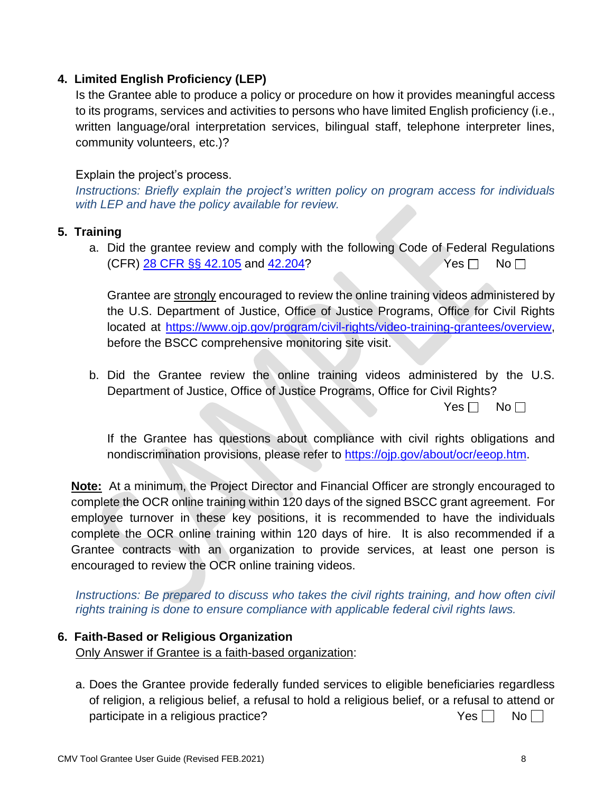## **4. Limited English Proficiency (LEP)**

Is the Grantee able to produce a policy or procedure on how it provides meaningful access to its programs, services and activities to persons who have limited English proficiency (i.e., written language/oral interpretation services, bilingual staff, telephone interpreter lines, community volunteers, etc.)?

#### Explain the project's process.

*Instructions: Briefly explain the project's written policy on program access for individuals with LEP and have the policy available for review.*

#### **5. Training**

a. Did the grantee review and comply with the following Code of Federal Regulations  $(CFR)$  [28 CFR §§ 42.105](https://gcc02.safelinks.protection.outlook.com/?url=https%3A%2F%2Fwww.law.cornell.edu%2Fcfr%2Ftext%2F28%2F42.105&data=04%7C01%7CRicardo.Goodridge%40bscc.ca.gov%7C723800fbe5354b777b0808d8d2d9b874%7Ca9b1f1d83de14f06a10ca6aaf9052088%7C0%7C0%7C637491179836634167%7CUnknown%7CTWFpbGZsb3d8eyJWIjoiMC4wLjAwMDAiLCJQIjoiV2luMzIiLCJBTiI6Ik1haWwiLCJXVCI6Mn0%3D%7C1000&sdata=Bi01P6DmbaDaVAVIq6S6IbOiApta9Gl896UhPexAzn0%3D&reserved=0) and [42.204?](https://gcc02.safelinks.protection.outlook.com/?url=https%3A%2F%2Fwww.law.cornell.edu%2Fcfr%2Ftext%2F28%2F42.204&data=04%7C01%7CRicardo.Goodridge%40bscc.ca.gov%7C723800fbe5354b777b0808d8d2d9b874%7Ca9b1f1d83de14f06a10ca6aaf9052088%7C0%7C0%7C637491179836634167%7CUnknown%7CTWFpbGZsb3d8eyJWIjoiMC4wLjAwMDAiLCJQIjoiV2luMzIiLCJBTiI6Ik1haWwiLCJXVCI6Mn0%3D%7C1000&sdata=cyi5rcBUorCE5%2Bqpg8Me5jOggQwHkXIhvdVOSZlHnkU%3D&reserved=0) Yes  $\Box$  No  $\Box$ 

Grantee are strongly encouraged to review the online training videos administered by the U.S. Department of Justice, Office of Justice Programs, Office for Civil Rights located at [https://www.ojp.gov/program/civil-rights/video-training-grantees/overview,](https://www.ojp.gov/program/civil-rights/video-training-grantees/overview) before the BSCC comprehensive monitoring site visit.

b. Did the Grantee review the online training videos administered by the U.S. Department of Justice, Office of Justice Programs, Office for Civil Rights?

Yes  $\Box$  No  $\Box$ 

If the Grantee has questions about compliance with civil rights obligations and nondiscrimination provisions, please refer to [https://ojp.gov/about/ocr/eeop.htm.](https://ojp.gov/about/ocr/eeop.htm)

**Note:** At a minimum, the Project Director and Financial Officer are strongly encouraged to complete the OCR online training within 120 days of the signed BSCC grant agreement. For employee turnover in these key positions, it is recommended to have the individuals complete the OCR online training within 120 days of hire. It is also recommended if a Grantee contracts with an organization to provide services, at least one person is encouraged to review the OCR online training videos.

*Instructions: Be prepared to discuss who takes the civil rights training, and how often civil rights training is done to ensure compliance with applicable federal civil rights laws.*

#### **6. Faith-Based or Religious Organization**

Only Answer if Grantee is a faith-based organization:

a. Does the Grantee provide federally funded services to eligible beneficiaries regardless of religion, a religious belief, a refusal to hold a religious belief, or a refusal to attend or participate in a religious practice?  $Yes \Box \quad No \Box$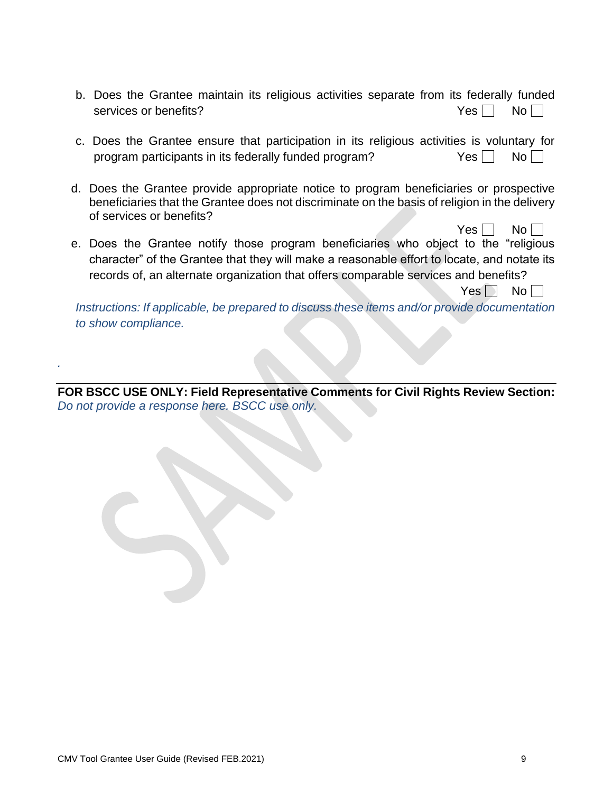| b. Does the Grantee maintain its religious activities separate from its federally funded |  |  |  |                    |  |
|------------------------------------------------------------------------------------------|--|--|--|--------------------|--|
| services or benefits?                                                                    |  |  |  | $Yes \Box No \Box$ |  |

- c. Does the Grantee ensure that participation in its religious activities is voluntary for program participants in its federally funded program?  $Yes \Box \ No \Box$
- d. Does the Grantee provide appropriate notice to program beneficiaries or prospective beneficiaries that the Grantee does not discriminate on the basis of religion in the delivery of services or benefits?
- e. Does the Grantee notify those program beneficiaries who object to the "religious character" of the Grantee that they will make a reasonable effort to locate, and notate its records of, an alternate organization that offers comparable services and benefits?

 $Yes \Box No \Box$ 

 $Yes \mid \text{No} \mid \text{ }$ 

*Instructions: If applicable, be prepared to discuss these items and/or provide documentation to show compliance.*

**FOR BSCC USE ONLY: Field Representative Comments for Civil Rights Review Section:** *Do not provide a response here. BSCC use only.*

*.*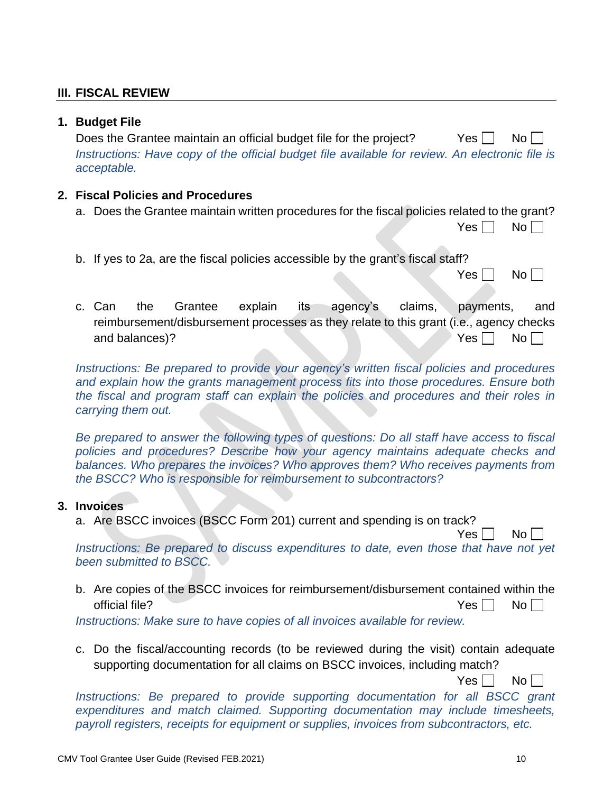### **III. FISCAL REVIEW**

#### **1. Budget File**

Does the Grantee maintain an official budget file for the project? Yes  $\Box$  No  $\Box$ *Instructions: Have copy of the official budget file available for review. An electronic file is acceptable.*

#### **2. Fiscal Policies and Procedures**

- a. Does the Grantee maintain written procedures for the fiscal policies related to the grant?
	- $Yes \Box No \Box$
- b. If yes to 2a, are the fiscal policies accessible by the grant's fiscal staff?

| ∼ | חצ |
|---|----|
|---|----|

c. Can the Grantee explain its agency's claims, payments, and reimbursement/disbursement processes as they relate to this grant (i.e., agency checks and balances)?  $Yes \Box \qquad No \Box$ 

*Instructions: Be prepared to provide your agency's written fiscal policies and procedures and explain how the grants management process fits into those procedures. Ensure both the fiscal and program staff can explain the policies and procedures and their roles in carrying them out.*

*Be prepared to answer the following types of questions: Do all staff have access to fiscal policies and procedures? Describe how your agency maintains adequate checks and balances. Who prepares the invoices? Who approves them? Who receives payments from the BSCC? Who is responsible for reimbursement to subcontractors?*

#### **3. Invoices**

a. Are BSCC invoices (BSCC Form 201) current and spending is on track?

 $Yes \Box No \Box$ 

*Instructions: Be prepared to discuss expenditures to date, even those that have not yet been submitted to BSCC.*

b. Are copies of the BSCC invoices for reimbursement/disbursement contained within the official file?  $Y$ es  $\Pi$  No $\Pi$ 

*Instructions: Make sure to have copies of all invoices available for review.*

c. Do the fiscal/accounting records (to be reviewed during the visit) contain adequate supporting documentation for all claims on BSCC invoices, including match?

Yes I Noll

*Instructions: Be prepared to provide supporting documentation for all BSCC grant expenditures and match claimed. Supporting documentation may include timesheets, payroll registers, receipts for equipment or supplies, invoices from subcontractors, etc.*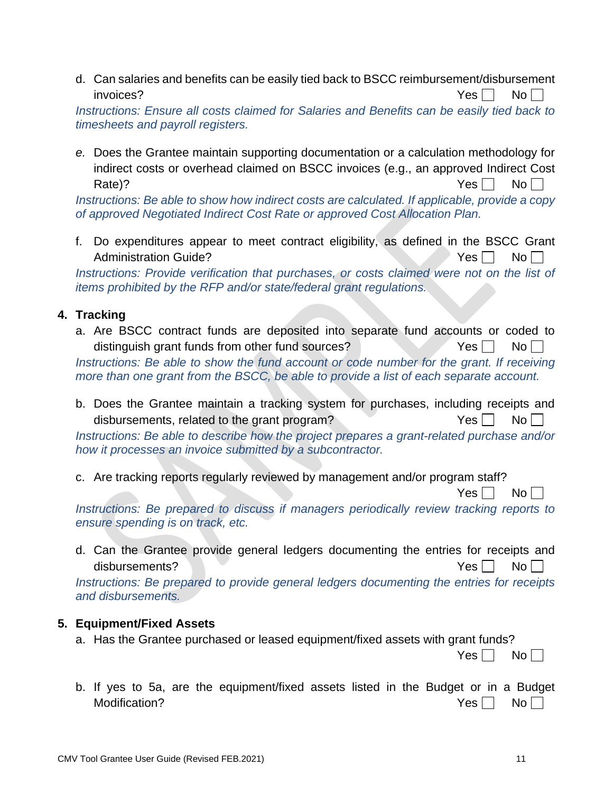d. Can salaries and benefits can be easily tied back to BSCC reimbursement/disbursement  $invoices?$  No

*Instructions: Ensure all costs claimed for Salaries and Benefits can be easily tied back to timesheets and payroll registers.*

*e.* Does the Grantee maintain supporting documentation or a calculation methodology for indirect costs or overhead claimed on BSCC invoices (e.g., an approved Indirect Cost Rate)? No and the set of the set of the set of the set of the set of the set of the set of the set of the set of the set of the set of the set of the set of the set of the set of the set of the set of the set of the set of

*Instructions: Be able to show how indirect costs are calculated. If applicable, provide a copy of approved Negotiated Indirect Cost Rate or approved Cost Allocation Plan.* 

f. Do expenditures appear to meet contract eligibility, as defined in the BSCC Grant Administration Guide? And Administration Guide? A Control of Alberta Control of Alberta Control of Alberta Control of Alberta Control of Alberta Control of Alberta Control of Alberta Control of Alberta Control of Alberta

*Instructions: Provide verification that purchases, or costs claimed were not on the list of items prohibited by the RFP and/or state/federal grant regulations.*

## **4. Tracking**

a. Are BSCC contract funds are deposited into separate fund accounts or coded to distinguish grant funds from other fund sources? Yes  $\Box$  No  $\Box$ *Instructions: Be able to show the fund account or code number for the grant. If receiving*

*more than one grant from the BSCC, be able to provide a list of each separate account.*

b. Does the Grantee maintain a tracking system for purchases, including receipts and disbursements, related to the grant program?  $Yes \Box \qquad No \Box$ 

*Instructions: Be able to describe how the project prepares a grant-related purchase and/or how it processes an invoice submitted by a subcontractor.*

c. Are tracking reports regularly reviewed by management and/or program staff?

 $Yes \Box No \Box$ 

*Instructions: Be prepared to discuss if managers periodically review tracking reports to ensure spending is on track, etc.* 

d. Can the Grantee provide general ledgers documenting the entries for receipts and disbursements?  $Y$ es  $\Box$  No $\Box$ 

*Instructions: Be prepared to provide general ledgers documenting the entries for receipts and disbursements.*

#### **5. Equipment/Fixed Assets**

a. Has the Grantee purchased or leased equipment/fixed assets with grant funds?

 $Yes \Box No \Box$ 

b. If yes to 5a, are the equipment/fixed assets listed in the Budget or in a Budget Modification?  $Yes \Box \qquad No \Box$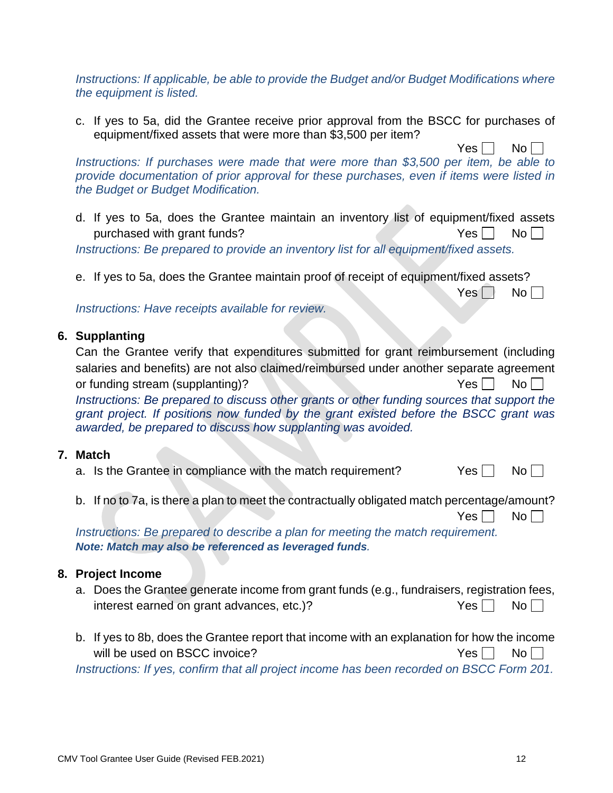*Instructions: If applicable, be able to provide the Budget and/or Budget Modifications where the equipment is listed.*

c. If yes to 5a, did the Grantee receive prior approval from the BSCC for purchases of equipment/fixed assets that were more than \$3,500 per item?

 $Yes \Box No \Box$ *Instructions: If purchases were made that were more than \$3,500 per item, be able to provide documentation of prior approval for these purchases, even if items were listed in the Budget or Budget Modification.*

- d. If yes to 5a, does the Grantee maintain an inventory list of equipment/fixed assets purchased with grant funds?  $Yes \Box \qquad No \Box$ *Instructions: Be prepared to provide an inventory list for all equipment/fixed assets.*
- e. If yes to 5a, does the Grantee maintain proof of receipt of equipment/fixed assets?

*Instructions: Have receipts available for review.*

### **6. Supplanting**

| Can the Grantee verify that expenditures submitted for grant reimbursement (including                                                                                                                                                                |  |
|------------------------------------------------------------------------------------------------------------------------------------------------------------------------------------------------------------------------------------------------------|--|
| salaries and benefits) are not also claimed/reimbursed under another separate agreement                                                                                                                                                              |  |
| $Yes \Box No \Box$<br>or funding stream (supplanting)?                                                                                                                                                                                               |  |
| Instructions: Be prepared to discuss other grants or other funding sources that support the<br>grant project. If positions now funded by the grant existed before the BSCC grant was<br>awarded, be prepared to discuss how supplanting was avoided. |  |

### **7. Match**

- a. Is the Grantee in compliance with the match requirement?  $Yes \Box \quad No \Box$
- b. If no to 7a, is there a plan to meet the contractually obligated match percentage/amount?

 $Yes \Box No \Box$ 

 $Yes \Box No \Box$ 

*Instructions: Be prepared to describe a plan for meeting the match requirement. Note: Match may also be referenced as leveraged funds.*

## **8. Project Income**

- a. Does the Grantee generate income from grant funds (e.g., fundraisers, registration fees, interest earned on grant advances, etc.)?  $Yes \Box \quad No \Box$
- b. If yes to 8b, does the Grantee report that income with an explanation for how the income will be used on BSCC invoice?  $\overline{\phantom{a}}$   $\overline{\phantom{a}}$   $\overline{\phantom{a}}$   $\overline{\phantom{a}}$   $\overline{\phantom{a}}$   $\overline{\phantom{a}}$   $\overline{\phantom{a}}$   $\overline{\phantom{a}}$   $\overline{\phantom{a}}$   $\overline{\phantom{a}}$   $\overline{\phantom{a}}$   $\overline{\phantom{a}}$   $\overline{\phantom{a}}$   $\overline{\phantom{a}}$   $\overline{\phantom{a}}$   $\overline{\phantom{a}}$  *Instructions: If yes, confirm that all project income has been recorded on BSCC Form 201.*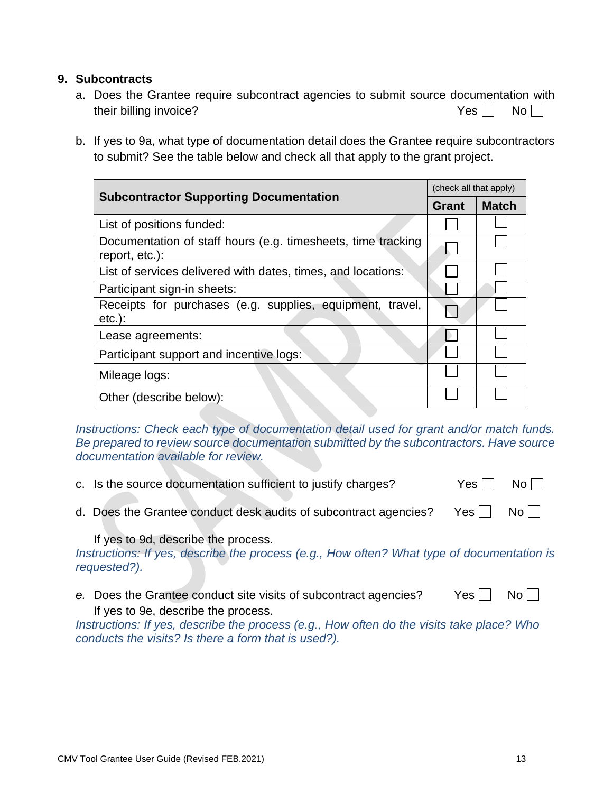#### **9. Subcontracts**

- a. Does the Grantee require subcontract agencies to submit source documentation with their billing invoice?  $Yes \Box \Box \Box$
- b. If yes to 9a, what type of documentation detail does the Grantee require subcontractors to submit? See the table below and check all that apply to the grant project.

|                                                                                | (check all that apply) |              |  |
|--------------------------------------------------------------------------------|------------------------|--------------|--|
| <b>Subcontractor Supporting Documentation</b>                                  | Grant                  | <b>Match</b> |  |
| List of positions funded:                                                      |                        |              |  |
| Documentation of staff hours (e.g. timesheets, time tracking<br>report, etc.): |                        |              |  |
| List of services delivered with dates, times, and locations:                   |                        |              |  |
| Participant sign-in sheets:                                                    |                        |              |  |
| Receipts for purchases (e.g. supplies, equipment, travel,<br>$etc.$ ):         |                        |              |  |
| Lease agreements:                                                              |                        |              |  |
| Participant support and incentive logs:                                        |                        |              |  |
| Mileage logs:                                                                  |                        |              |  |
| Other (describe below):                                                        |                        |              |  |

*Instructions: Check each type of documentation detail used for grant and/or match funds. Be prepared to review source documentation submitted by the subcontractors. Have source documentation available for review.* 

- c. Is the source documentation sufficient to justify charges?  $Yes \cap No \cap$
- d. Does the Grantee conduct desk audits of subcontract agencies? Yes  $\Box$  No  $\Box$

If yes to 9d, describe the process.

*Instructions: If yes, describe the process (e.g., How often? What type of documentation is requested?).*

*e.* Does the Grantee conduct site visits of subcontract agencies? Yes  $\Box$  No  $\Box$ If yes to 9e, describe the process.

*Instructions: If yes, describe the process (e.g., How often do the visits take place? Who conducts the visits? Is there a form that is used?).*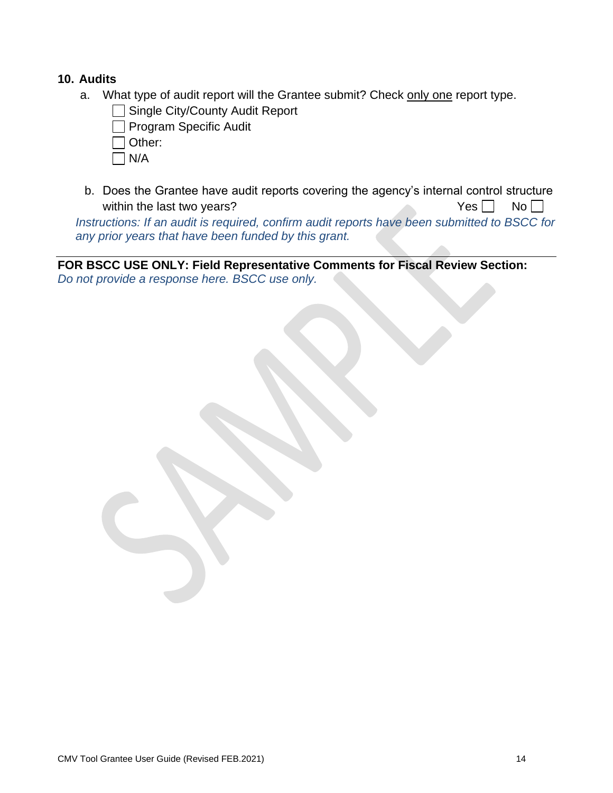#### **10. Audits**

- a. What type of audit report will the Grantee submit? Check only one report type.
	- Single City/County Audit Report

Program Specific Audit

Other:

- N/A
- b. Does the Grantee have audit reports covering the agency's internal control structure within the last two years?  $Yes \Box \qquad No \Box$

*Instructions: If an audit is required, confirm audit reports have been submitted to BSCC for any prior years that have been funded by this grant.*

**FOR BSCC USE ONLY: Field Representative Comments for Fiscal Review Section:** *Do not provide a response here. BSCC use only.*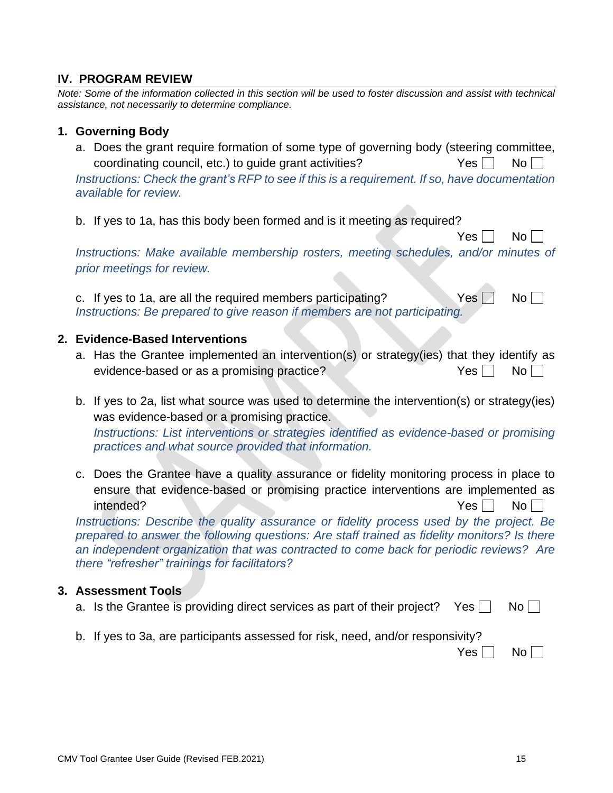#### **IV. PROGRAM REVIEW**

*Note: Some of the information collected in this section will be used to foster discussion and assist with technical assistance, not necessarily to determine compliance.* 

#### **1. Governing Body**

a. Does the grant require formation of some type of governing body (steering committee, coordinating council, etc.) to quide grant activities?  $Yes \mid No \mid$ 

*Instructions: Check the grant's RFP to see if this is a requirement. If so, have documentation available for review.*

b. If yes to 1a, has this body been formed and is it meeting as required?

 $Yes \Box No \Box$ 

*Instructions: Make available membership rosters, meeting schedules, and/or minutes of prior meetings for review.*

c. If yes to 1a, are all the required members participating? Yes  $\Box$  No  $\Box$ *Instructions: Be prepared to give reason if members are not participating.*

#### **2. Evidence-Based Interventions**

- a. Has the Grantee implemented an intervention(s) or strategy(ies) that they identify as evidence-based or as a promising practice?  $Yes \Box \qquad No \Box$
- b. If yes to 2a, list what source was used to determine the intervention(s) or strategy(ies) was evidence-based or a promising practice.

*Instructions: List interventions or strategies identified as evidence-based or promising practices and what source provided that information.*

c. Does the Grantee have a quality assurance or fidelity monitoring process in place to ensure that evidence-based or promising practice interventions are implemented as intended? Yes No

*Instructions: Describe the quality assurance or fidelity process used by the project. Be prepared to answer the following questions: Are staff trained as fidelity monitors? Is there an independent organization that was contracted to come back for periodic reviews? Are there "refresher" trainings for facilitators?* 

#### **3. Assessment Tools**

- a. Is the Grantee is providing direct services as part of their project? Yes  $\Box$  No  $\Box$
- b. If yes to 3a, are participants assessed for risk, need, and/or responsivity?

 $Yes \Box No \Box$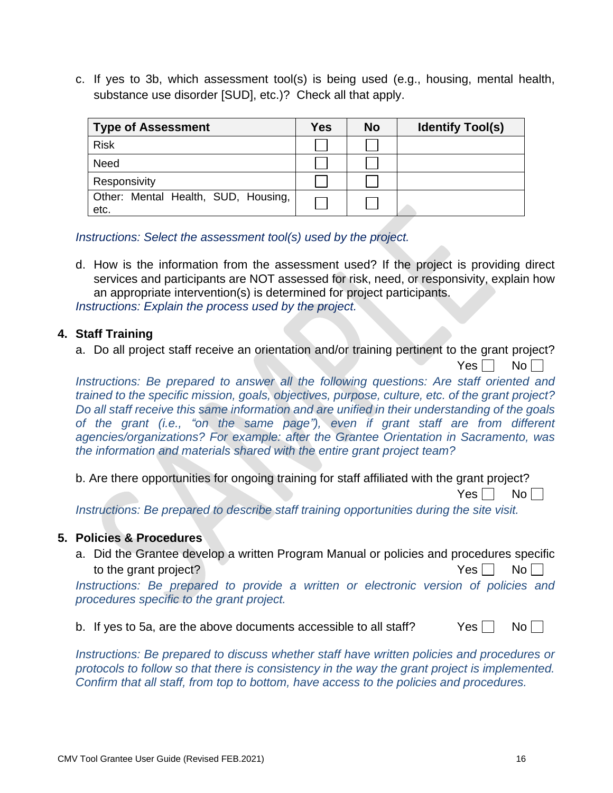c. If yes to 3b, which assessment tool(s) is being used (e.g., housing, mental health, substance use disorder [SUD], etc.)? Check all that apply.

| <b>Type of Assessment</b>                   | Yes | <b>No</b> | <b>Identify Tool(s)</b> |
|---------------------------------------------|-----|-----------|-------------------------|
| <b>Risk</b>                                 |     |           |                         |
| Need                                        |     |           |                         |
| Responsivity                                |     |           |                         |
| Other: Mental Health, SUD, Housing,<br>etc. |     |           |                         |

*Instructions: Select the assessment tool(s) used by the project.*

d. How is the information from the assessment used? If the project is providing direct services and participants are NOT assessed for risk, need, or responsivity, explain how an appropriate intervention(s) is determined for project participants. *Instructions: Explain the process used by the project.*

#### **4. Staff Training**

a. Do all project staff receive an orientation and/or training pertinent to the grant project?

 $Yes \Box No \Box$ 

*Instructions: Be prepared to answer all the following questions: Are staff oriented and trained to the specific mission, goals, objectives, purpose, culture, etc. of the grant project? Do all staff receive this same information and are unified in their understanding of the goals of the grant (i.e., "on the same page"), even if grant staff are from different agencies/organizations? For example: after the Grantee Orientation in Sacramento, was the information and materials shared with the entire grant project team?*

b. Are there opportunities for ongoing training for staff affiliated with the grant project?

 $Yes \mid \mid No \mid \mid$ 

*Instructions: Be prepared to describe staff training opportunities during the site visit.*

#### **5. Policies & Procedures**

a. Did the Grantee develop a written Program Manual or policies and procedures specific to the grant project?  $Yes \Box \qquad No \Box$ 

*Instructions: Be prepared to provide a written or electronic version of policies and procedures specific to the grant project.*

|  |  |  | b. If yes to 5a, are the above documents accessible to all staff? | $Yes \Box No \Box$ |  |
|--|--|--|-------------------------------------------------------------------|--------------------|--|
|--|--|--|-------------------------------------------------------------------|--------------------|--|

*Instructions: Be prepared to discuss whether staff have written policies and procedures or protocols to follow so that there is consistency in the way the grant project is implemented. Confirm that all staff, from top to bottom, have access to the policies and procedures.*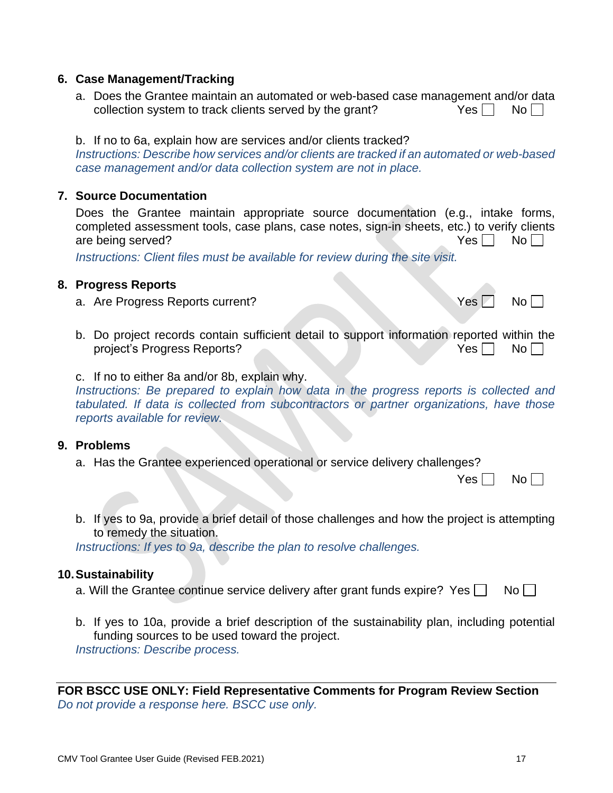## a. Will the Grantee continue service delivery after grant funds expire? Yes  $\Box$  No  $\Box$

**10.Sustainability**

funding sources to be used toward the project. *Instructions: Describe process.*

b. If yes to 10a, provide a brief description of the sustainability plan, including potential

**FOR BSCC USE ONLY: Field Representative Comments for Program Review Section** *Do not provide a response here. BSCC use only.*

- CMV Tool Grantee User Guide (Revised FEB.2021) 17
	-

## **6. Case Management/Tracking**

- a. Does the Grantee maintain an automated or web-based case management and/or data collection system to track clients served by the grant?  $Yes \Box \quad No \Box$
- b. If no to 6a, explain how are services and/or clients tracked?

*Instructions: Describe how services and/or clients are tracked if an automated or web-based case management and/or data collection system are not in place.*

## **7. Source Documentation**

Does the Grantee maintain appropriate source documentation (e.g., intake forms, completed assessment tools, case plans, case notes, sign-in sheets, etc.) to verify clients are being served?  $Y$ es  $\Box$  No  $\Box$ 

*Instructions: Client files must be available for review during the site visit.*

## **8. Progress Reports**

- a. Are Progress Reports current?  $Yes \Box \text{ No } \Box$
- b. Do project records contain sufficient detail to support information reported within the project's Progress Reports? The North State of the North State of the North State of the North State of the North State of the North State of the North State of the North State of the North State of the North State of the
- c. If no to either 8a and/or 8b, explain why.

*Instructions: Be prepared to explain how data in the progress reports is collected and tabulated. If data is collected from subcontractors or partner organizations, have those reports available for review.* 

#### **9. Problems**

a. Has the Grantee experienced operational or service delivery challenges?

*Instructions: If yes to 9a, describe the plan to resolve challenges.* 

 $Yes \Box No \Box$ 

| b. If yes to 9a, provide a brief detail of those challenges and how the project is attempting |
|-----------------------------------------------------------------------------------------------|
| to remedy the situation.                                                                      |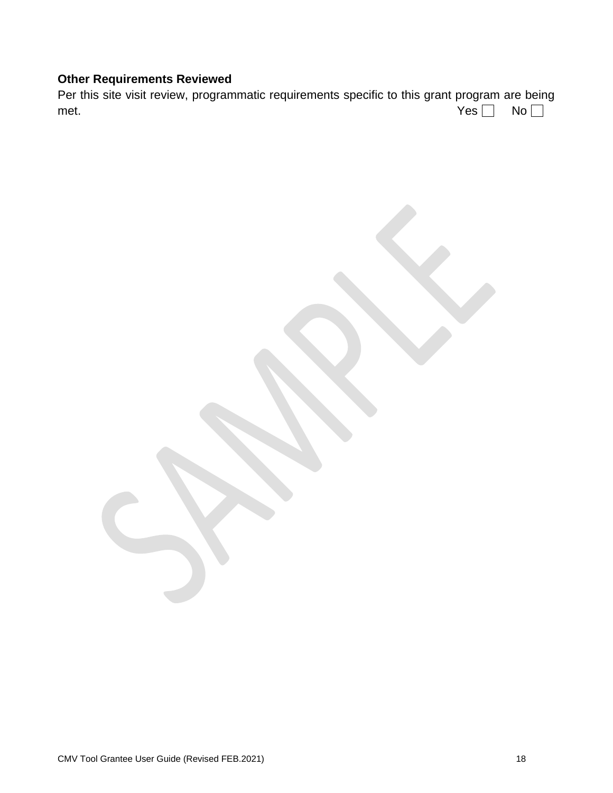## **Other Requirements Reviewed**

Per this site visit review, programmatic requirements specific to this grant program are being met.  $Yes \Box$  No

CMV Tool Grantee User Guide (Revised FEB.2021) 18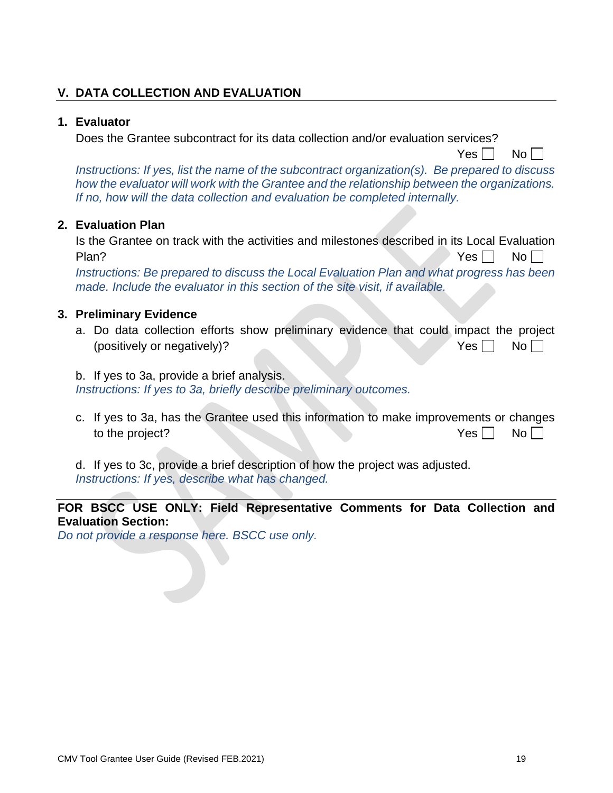## **V. DATA COLLECTION AND EVALUATION**

#### **1. Evaluator**

Does the Grantee subcontract for its data collection and/or evaluation services?

 $Yes \Box No \Box$ 

*Instructions: If yes, list the name of the subcontract organization(s). Be prepared to discuss how the evaluator will work with the Grantee and the relationship between the organizations. If no, how will the data collection and evaluation be completed internally.*

#### **2. Evaluation Plan**

Is the Grantee on track with the activities and milestones described in its Local Evaluation Plan? No result to the contract of the contract of the contract of the contract of the contract of the contract of the contract of the contract of the contract of the contract of the contract of the contract of the contrac

*Instructions: Be prepared to discuss the Local Evaluation Plan and what progress has been made. Include the evaluator in this section of the site visit, if available.*

#### **3. Preliminary Evidence**

- a. Do data collection efforts show preliminary evidence that could impact the project (positively or negatively)?  $Yes \Box \qquad No \Box$
- b. If yes to 3a, provide a brief analysis.

*Instructions: If yes to 3a, briefly describe preliminary outcomes.*

c. If yes to 3a, has the Grantee used this information to make improvements or changes to the project?  $Yes \Box \text{No} \Box$ 

d. If yes to 3c, provide a brief description of how the project was adjusted. *Instructions: If yes, describe what has changed.* 

## **FOR BSCC USE ONLY: Field Representative Comments for Data Collection and Evaluation Section:**

*Do not provide a response here. BSCC use only.*